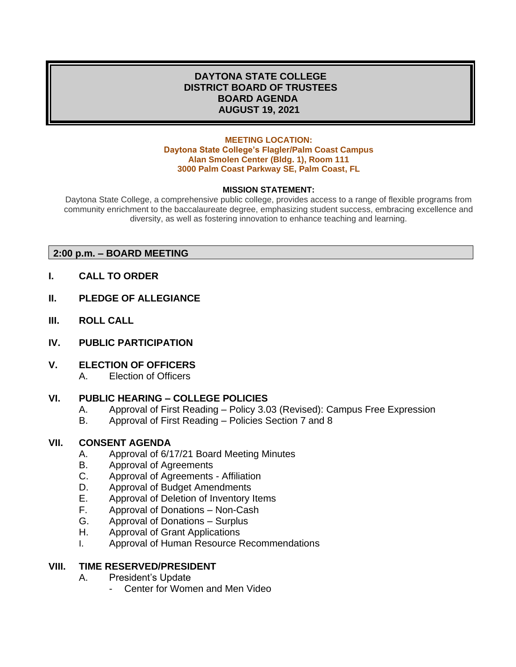## **DAYTONA STATE COLLEGE DISTRICT BOARD OF TRUSTEES BOARD AGENDA AUGUST 19, 2021**

#### **MEETING LOCATION: Daytona State College's Flagler/Palm Coast Campus Alan Smolen Center (Bldg. 1), Room 111 3000 Palm Coast Parkway SE, Palm Coast, FL**

### **MISSION STATEMENT:**

Daytona State College, a comprehensive public college, provides access to a range of flexible programs from community enrichment to the baccalaureate degree, emphasizing student success, embracing excellence and diversity, as well as fostering innovation to enhance teaching and learning.

### **2:00 p.m. – BOARD MEETING**

- **I. CALL TO ORDER**
- **II. PLEDGE OF ALLEGIANCE**
- **III. ROLL CALL**
- **IV. PUBLIC PARTICIPATION**
- **V. ELECTION OF OFFICERS**
	- A. Election of Officers

### **VI. PUBLIC HEARING – COLLEGE POLICIES**

- A. Approval of First Reading Policy 3.03 (Revised): Campus Free Expression
- B. Approval of First Reading Policies Section 7 and 8

### **VII. CONSENT AGENDA**

- A. Approval of 6/17/21 Board Meeting Minutes
- B. Approval of Agreements
- C. Approval of Agreements Affiliation
- D. Approval of Budget Amendments
- E. Approval of Deletion of Inventory Items
- F. Approval of Donations Non-Cash
- G. Approval of Donations Surplus
- H. Approval of Grant Applications
- I. Approval of Human Resource Recommendations

### **VIII. TIME RESERVED/PRESIDENT**

- A. President's Update
	- Center for Women and Men Video